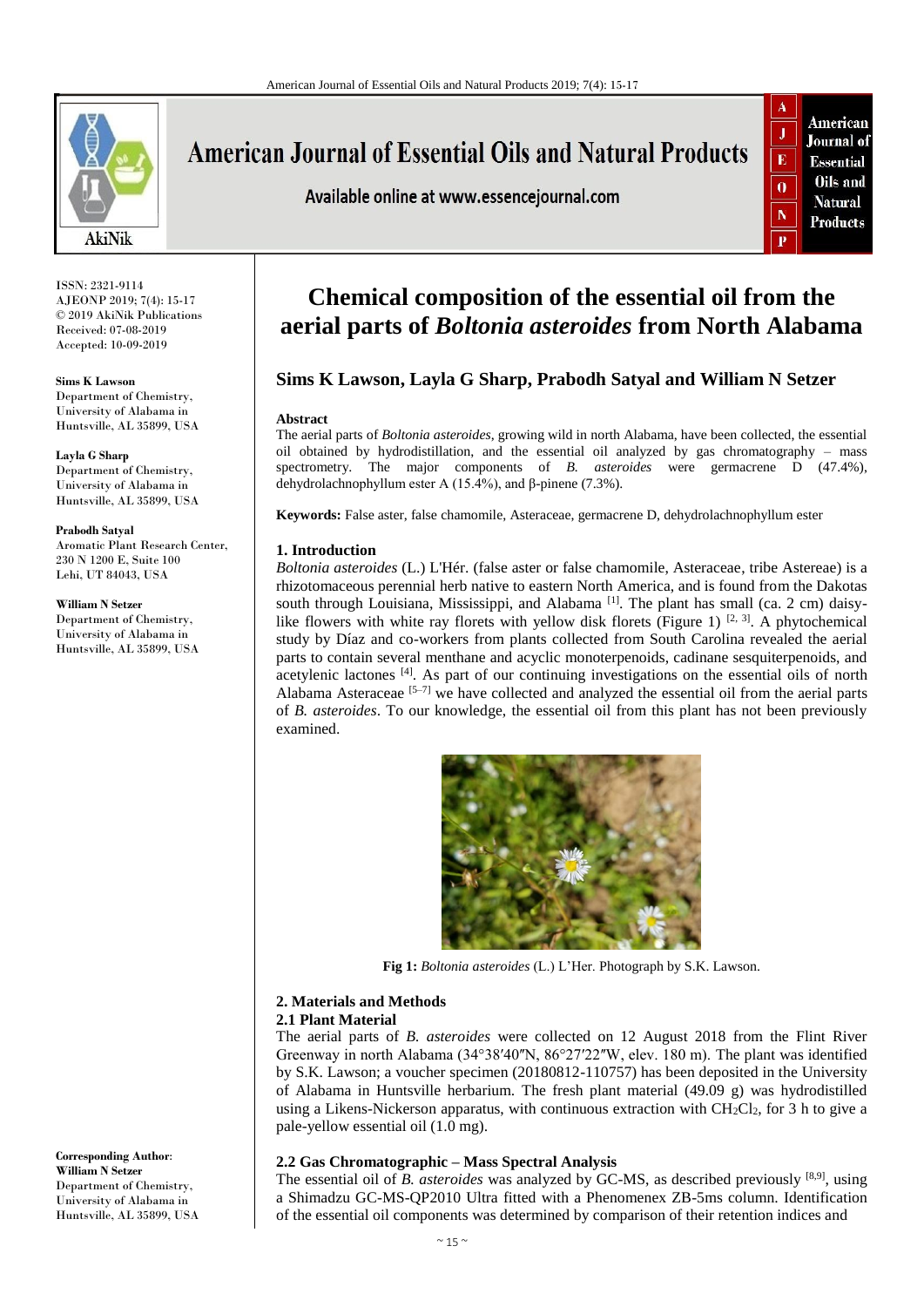

# **American Journal of Essential Oils and Natural Products**

Available online at www.essencejournal.com



ISSN: 2321-9114 AJEONP 2019; 7(4): 15-17 © 2019 AkiNik Publications Received: 07-08-2019 Accepted: 10-09-2019

**Sims K Lawson** Department of Chemistry, University of Alabama in Huntsville, AL 35899, USA

**Layla G Sharp** Department of Chemistry, University of Alabama in Huntsville, AL 35899, USA

**Prabodh Satyal** Aromatic Plant Research Center, 230 N 1200 E, Suite 100 Lehi, UT 84043, USA

**William N Setzer**

Department of Chemistry, University of Alabama in Huntsville, AL 35899, USA

**Corresponding Author**: **William N Setzer** Department of Chemistry, University of Alabama in Huntsville, AL 35899, USA

### **Chemical composition of the essential oil from the aerial parts of** *Boltonia asteroides* **from North Alabama**

### **Sims K Lawson, Layla G Sharp, Prabodh Satyal and William N Setzer**

#### **Abstract**

The aerial parts of *Boltonia asteroides*, growing wild in north Alabama, have been collected, the essential oil obtained by hydrodistillation, and the essential oil analyzed by gas chromatography – mass spectrometry. The major components of *B. asteroides* were germacrene D (47.4%), dehydrolachnophyllum ester A (15.4%), and β-pinene (7.3%).

**Keywords:** False aster, false chamomile, Asteraceae, germacrene D, dehydrolachnophyllum ester

#### **1. Introduction**

*Boltonia asteroides* (L.) L'Hér. (false aster or false chamomile, Asteraceae, tribe Astereae) is a rhizotomaceous perennial herb native to eastern North America, and is found from the Dakotas south through Louisiana, Mississippi, and Alabama<sup>[1]</sup>. The plant has small (ca. 2 cm) daisylike flowers with white ray florets with yellow disk florets (Figure 1)  $[2, 3]$ . A phytochemical study by Díaz and co-workers from plants collected from South Carolina revealed the aerial parts to contain several menthane and acyclic monoterpenoids, cadinane sesquiterpenoids, and acetylenic lactones [4]. As part of our continuing investigations on the essential oils of north Alabama Asteraceae  $[5-7]$  we have collected and analyzed the essential oil from the aerial parts of *B. asteroides*. To our knowledge, the essential oil from this plant has not been previously examined.



**Fig 1:** *Boltonia asteroides* (L.) L'Her. Photograph by S.K. Lawson.

## **2. Materials and Methods**

#### **2.1 Plant Material**

The aerial parts of *B. asteroides* were collected on 12 August 2018 from the Flint River Greenway in north Alabama (34°38′40″N, 86°27′22″W, elev. 180 m). The plant was identified by S.K. Lawson; a voucher specimen (20180812-110757) has been deposited in the University of Alabama in Huntsville herbarium. The fresh plant material (49.09 g) was hydrodistilled using a Likens-Nickerson apparatus, with continuous extraction with  $CH_2Cl_2$ , for 3 h to give a pale-yellow essential oil (1.0 mg).

#### **2.2 Gas Chromatographic – Mass Spectral Analysis**

The essential oil of *B. asteroides* was analyzed by GC-MS, as described previously [8,9], using a Shimadzu GC-MS-QP2010 Ultra fitted with a Phenomenex ZB-5ms column. Identification of the essential oil components was determined by comparison of their retention indices and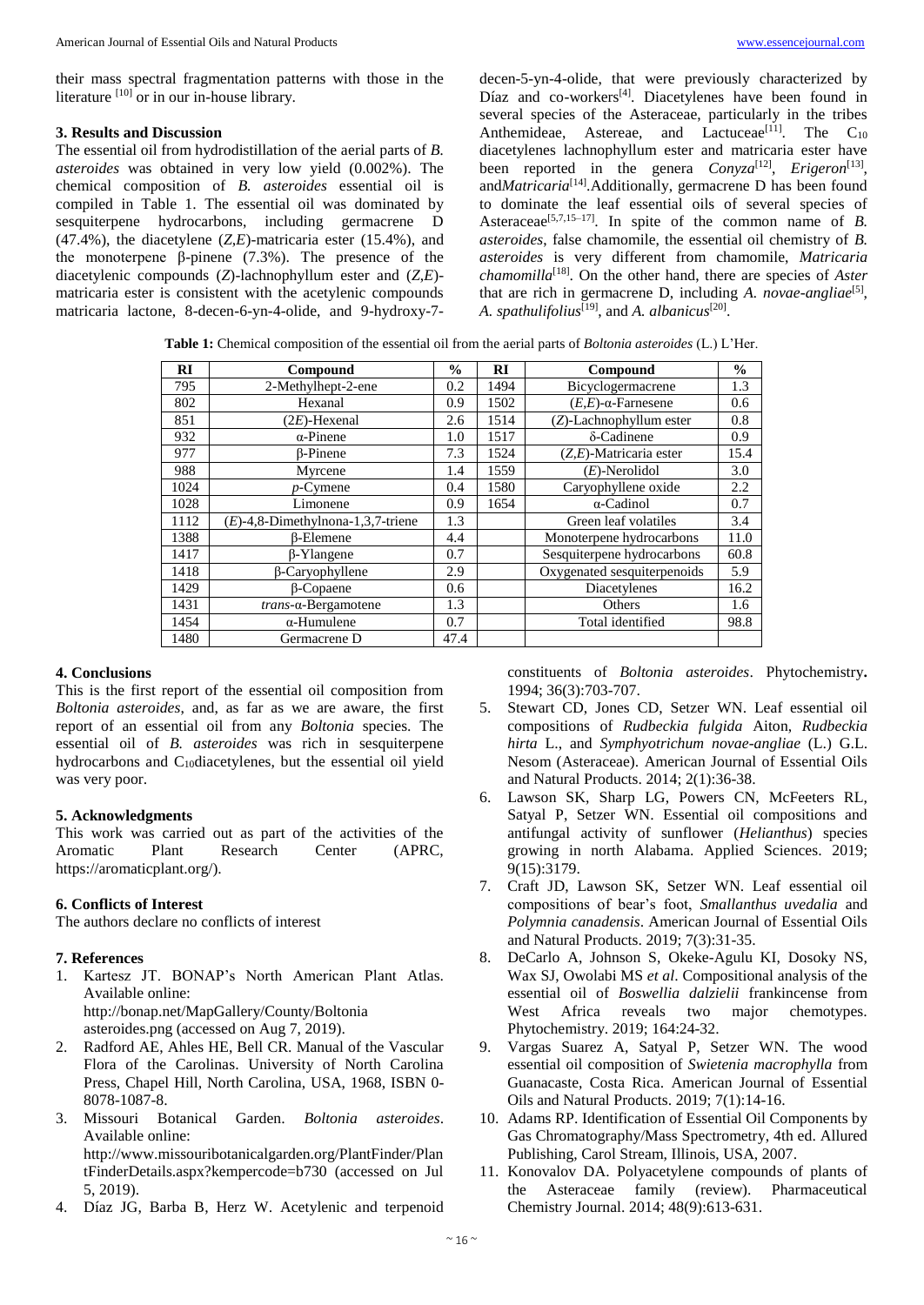their mass spectral fragmentation patterns with those in the literature  $[10]$  or in our in-house library.

#### **3. Results and Discussion**

The essential oil from hydrodistillation of the aerial parts of *B. asteroides* was obtained in very low yield (0.002%). The chemical composition of *B. asteroides* essential oil is compiled in Table 1. The essential oil was dominated by sesquiterpene hydrocarbons, including germacrene D (47.4%), the diacetylene (*Z*,*E*)-matricaria ester (15.4%), and the monoterpene β-pinene (7.3%). The presence of the diacetylenic compounds (*Z*)-lachnophyllum ester and (*Z*,*E*) matricaria ester is consistent with the acetylenic compounds matricaria lactone, 8-decen-6-yn-4-olide, and 9-hydroxy-7decen-5-yn-4-olide, that were previously characterized by Díaz and co-workers<sup>[4]</sup>. Diacetylenes have been found in several species of the Asteraceae, particularly in the tribes Anthemideae, Astereae, and Lactuceae<sup>[11]</sup>. The  $C_{10}$ diacetylenes lachnophyllum ester and matricaria ester have been reported in the genera *Conyza*<sup>[12]</sup>, *Erigeron*<sup>[13]</sup>, and*Matricaria*[14] .Additionally, germacrene D has been found to dominate the leaf essential oils of several species of Asteraceae<sup>[5,7,15–17]</sup>. In spite of the common name of *B*. *asteroides*, false chamomile, the essential oil chemistry of *B. asteroides* is very different from chamomile, *Matricaria chamomilla*[18] . On the other hand, there are species of *Aster* that are rich in germacrene D, including A. novae-angliae<sup>[5]</sup>, *A. spathulifolius*[19] , and *A. albanicus*[20] .

**Table 1:** Chemical composition of the essential oil from the aerial parts of *Boltonia asteroides* (L.) L'Her.

| R <sub>I</sub> | Compound                             | $\frac{6}{9}$ | RI   | Compound                    | $\frac{0}{0}$ |
|----------------|--------------------------------------|---------------|------|-----------------------------|---------------|
| 795            | 2-Methylhept-2-ene                   | 0.2           | 1494 | Bicyclogermacrene           | 1.3           |
| 802            | Hexanal                              | 0.9           | 1502 | $(E,E)$ -α-Farnesene        | 0.6           |
| 851            | $(2E)$ -Hexenal                      | 2.6           | 1514 | (Z)-Lachnophyllum ester     | 0.8           |
| 932            | $\alpha$ -Pinene                     | 1.0           | 1517 | δ-Cadinene                  | 0.9           |
| 977            | <b>B-Pinene</b>                      | 7.3           | 1524 | $(Z,E)$ -Matricaria ester   | 15.4          |
| 988            | Myrcene                              | 1.4           | 1559 | $(E)$ -Nerolidol            | 3.0           |
| 1024           | $p$ -Cymene                          | 0.4           | 1580 | Caryophyllene oxide         | 2.2           |
| 1028           | Limonene                             | 0.9           | 1654 | $\alpha$ -Cadinol           | 0.7           |
| 1112           | $(E)$ -4,8-Dimethylnona-1,3,7-triene | 1.3           |      | Green leaf volatiles        | 3.4           |
| 1388           | <b>B-Elemene</b>                     | 4.4           |      | Monoterpene hydrocarbons    | 11.0          |
| 1417           | $\beta$ -Ylangene                    | 0.7           |      | Sesquiterpene hydrocarbons  | 60.8          |
| 1418           | $\beta$ -Caryophyllene               | 2.9           |      | Oxygenated sesquiterpenoids | 5.9           |
| 1429           | <b>B-Copaene</b>                     | 0.6           |      | Diacetylenes                | 16.2          |
| 1431           | $trans-a-Bergamotene$                | 1.3           |      | Others                      | 1.6           |
| 1454           | $\alpha$ -Humulene                   | 0.7           |      | Total identified            | 98.8          |
| 1480           | Germacrene D                         | 47.4          |      |                             |               |

#### **4. Conclusions**

This is the first report of the essential oil composition from *Boltonia asteroides*, and, as far as we are aware, the first report of an essential oil from any *Boltonia* species. The essential oil of *B. asteroides* was rich in sesquiterpene hydrocarbons and C10diacetylenes, but the essential oil yield was very poor.

#### **5. Acknowledgments**

This work was carried out as part of the activities of the Aromatic Plant Research Center (APRC, https://aromaticplant.org/).

#### **6. Conflicts of Interest**

The authors declare no conflicts of interest

#### **7. References**

1. Kartesz JT. BONAP's North American Plant Atlas. Available online: http://bonap.net/MapGallery/County/Boltonia

asteroides.png (accessed on Aug 7, 2019).

- 2. Radford AE, Ahles HE, Bell CR. Manual of the Vascular Flora of the Carolinas. University of North Carolina Press, Chapel Hill, North Carolina, USA, 1968, ISBN 0- 8078-1087-8.
- 3. Missouri Botanical Garden. *Boltonia asteroides*. Available online: http://www.missouribotanicalgarden.org/PlantFinder/Plan tFinderDetails.aspx?kempercode=b730 (accessed on Jul 5, 2019).
- 4. Díaz JG, Barba B, Herz W. Acetylenic and terpenoid

constituents of *Boltonia asteroides*. Phytochemistry**.**  1994; 36(3):703-707.

- 5. Stewart CD, Jones CD, Setzer WN. Leaf essential oil compositions of *Rudbeckia fulgida* Aiton, *Rudbeckia hirta* L., and *Symphyotrichum novae-angliae* (L.) G.L. Nesom (Asteraceae). American Journal of Essential Oils and Natural Products. 2014; 2(1):36-38.
- 6. Lawson SK, Sharp LG, Powers CN, McFeeters RL, Satyal P, Setzer WN. Essential oil compositions and antifungal activity of sunflower (*Helianthus*) species growing in north Alabama. Applied Sciences. 2019; 9(15):3179.
- 7. Craft JD, Lawson SK, Setzer WN. Leaf essential oil compositions of bear's foot, *Smallanthus uvedalia* and *Polymnia canadensis*. American Journal of Essential Oils and Natural Products. 2019; 7(3):31-35.
- 8. DeCarlo A, Johnson S, Okeke-Agulu KI, Dosoky NS, Wax SJ, Owolabi MS *et al*. Compositional analysis of the essential oil of *Boswellia dalzielii* frankincense from West Africa reveals two major chemotypes. Phytochemistry. 2019; 164:24-32.
- 9. Vargas Suarez A, Satyal P, Setzer WN. The wood essential oil composition of *Swietenia macrophylla* from Guanacaste, Costa Rica. American Journal of Essential Oils and Natural Products. 2019; 7(1):14-16.
- 10. Adams RP. Identification of Essential Oil Components by Gas Chromatography/Mass Spectrometry, 4th ed. Allured Publishing, Carol Stream, Illinois, USA, 2007.
- 11. Konovalov DA. Polyacetylene compounds of plants of the Asteraceae family (review). Pharmaceutical Chemistry Journal. 2014; 48(9):613-631.